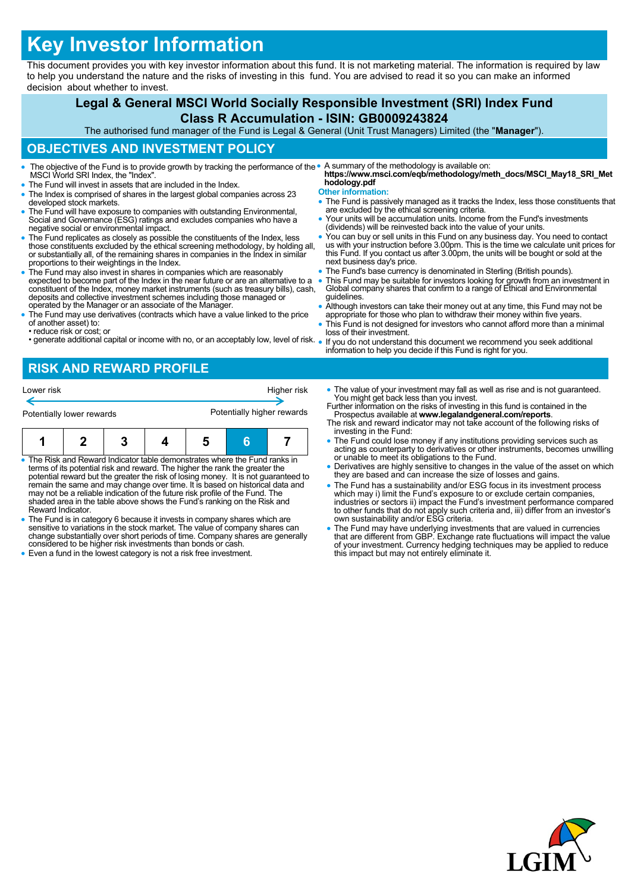# **Key Investor Information**

This document provides you with key investor information about this fund. It is not marketing material. The information is required by law to help you understand the nature and the risks of investing in this fund. You are advised to read it so you can make an informed decision about whether to invest.

#### **Legal & General MSCI World Socially Responsible Investment (SRI) Index Fund Class R Accumulation - ISIN: GB0009243824** The authorised fund manager of the Fund is Legal & General (Unit Trust Managers) Limited (the "**Manager**"). **OBJECTIVES AND INVESTMENT POLICY** The objective of the Fund is to provide growth by tracking the performance of the • MSCI World SRI Index, the "Index". The Fund will invest in assets that are included in the Index. The Index is comprised of shares in the largest global companies across 23 developed stock markets. The Fund will have exposure to companies with outstanding Environmental, Social and Governance (ESG) ratings and excludes companies who have a negative social or environmental impact. The Fund replicates as closely as possible the constituents of the Index, less those constituents excluded by the ethical screening methodology, by holding all, or substantially all, of the remaining shares in companies in the Index in similar proportions to their weightings in the Index. The Fund may also invest in shares in companies which are reasonably expected to become part of the Index in the near future or are an alternative to a constituent of the Index, money market instruments (such as treasury bills), cash, deposits and collective investment schemes including those managed or operated by the Manager or an associate of the Manager. The Fund may use derivatives (contracts which have a value linked to the price of another asset) to: • reduce risk or cost; or • generate additional capital or income with no, or an acceptably low, level of risk. A summary of the methodology is available on: **https://www.msci.com/eqb/methodology/meth\_docs/MSCI\_May18\_SRI\_Met hodology.pdf Other information:** The Fund is passively managed as it tracks the Index, less those constituents that are excluded by the ethical screening criteria. Your units will be accumulation units. Income from the Fund's investments (dividends) will be reinvested back into the value of your units. You can buy or sell units in this Fund on any business day. You need to contact us with your instruction before 3.00pm. This is the time we calculate unit prices for this Fund. If you contact us after 3.00pm, the units will be bought or sold at the next business day's price. The Fund's base currency is denominated in Sterling (British pounds). This Fund may be suitable for investors looking for growth from an investment in Global company shares that confirm to a range of Ethical and Environmental guidelines. Although investors can take their money out at any time, this Fund may not be appropriate for those who plan to withdraw their money within five years. This Fund is not designed for investors who cannot afford more than a minimal loss of their investment. If you do not understand this document we recommend you seek additional information to help you decide if this Fund is right for you.

## **RISK AND REWARD PROFILE**

| Lower risk                                                                                                                                                                                     |  |  |  |  | Higher risk |  |  |
|------------------------------------------------------------------------------------------------------------------------------------------------------------------------------------------------|--|--|--|--|-------------|--|--|
| Potentially higher rewards<br>Potentially lower rewards                                                                                                                                        |  |  |  |  |             |  |  |
|                                                                                                                                                                                                |  |  |  |  |             |  |  |
| • The Risk and Reward Indicator table demonstrates where the Fund ranks in<br>المتطلب وملح ويستري والمناور والمستور والتناسي المتواصل والمستريح والمثور والمتحاولات والمتحدد والمتحدد والمستحل |  |  |  |  |             |  |  |

• The Risk and Reward Indicator table demonstrates where the Fund ranks in<br>terms of its potential risk and reward. The higher the rank the greater the<br>potential reward but the greater the risk of losing money. It is not gu may not be a reliable indication of the future risk profile of the Fund. The shaded area in the table above shows the Fund's ranking on the Risk and Reward Indicator.

 The Fund is in category 6 because it invests in company shares which are sensitive to variations in the stock market. The value of company shares can change substantially over short periods of time. Company shares are generally considered to be higher risk investments than bonds or cash.

• Even a fund in the lowest category is not a risk free investment.

- The value of your investment may fall as well as rise and is not quaranteed. You might get back less than you invest.
- Further information on the risks of investing in this fund is contained in the Prospectus available at **www.legalandgeneral.com/reports**. The risk and reward indicator may not take account of the following risks of
- investing in the Fund: The Fund could lose money if any institutions providing services such as acting as counterparty to derivatives or other instruments, becomes unwilling or unable to meet its obligations to the Fund.
- Derivatives are highly sensitive to changes in the value of the asset on which they are based and can increase the size of losses and gains.
- The Fund has a sustainability and/or ESG focus in its investment process which may i) limit the Fund's exposure to or exclude certain companies, industries or sectors ii) impact the Fund's investment performance compared to other funds that do not apply such criteria and, iii) differ from an investor's own sustainability and/or ESG criteria.
- The Fund may have underlying investments that are valued in currencies that are different from GBP. Exchange rate fluctuations will impact the value of your investment. Currency hedging techniques may be applied to reduce this impact but may not entirely eliminate it.